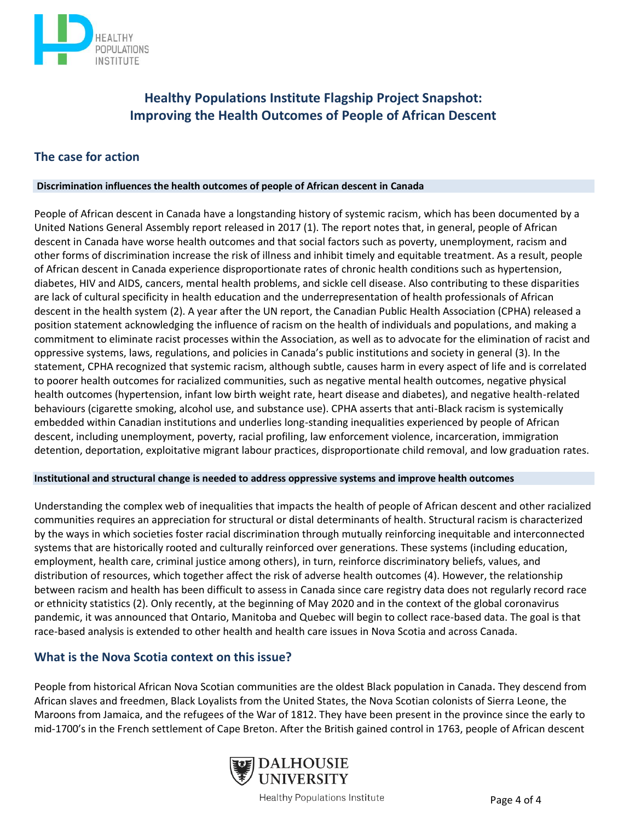

# **Healthy Populations Institute Flagship Project Snapshot: Improving the Health Outcomes of People of African Descent**

## **The case for action**

#### **Discrimination influences the health outcomes of people of African descent in Canada**

People of African descent in Canada have a longstanding history of systemic racism, which has been documented by a United Nations General Assembly report released in 2017 (1). The report notes that, in general, people of African descent in Canada have worse health outcomes and that social factors such as poverty, unemployment, racism and other forms of discrimination increase the risk of illness and inhibit timely and equitable treatment. As a result, people of African descent in Canada experience disproportionate rates of chronic health conditions such as hypertension, diabetes, HIV and AIDS, cancers, mental health problems, and sickle cell disease. Also contributing to these disparities are lack of cultural specificity in health education and the underrepresentation of health professionals of African descent in the health system (2). A year after the UN report, the Canadian Public Health Association (CPHA) released a position statement acknowledging the influence of racism on the health of individuals and populations, and making a commitment to eliminate racist processes within the Association, as well as to advocate for the elimination of racist and oppressive systems, laws, regulations, and policies in Canada's public institutions and society in general (3). In the statement, CPHA recognized that systemic racism, although subtle, causes harm in every aspect of life and is correlated to poorer health outcomes for racialized communities, such as negative mental health outcomes, negative physical health outcomes (hypertension, infant low birth weight rate, heart disease and diabetes), and negative health-related behaviours (cigarette smoking, alcohol use, and substance use). CPHA asserts that anti-Black racism is systemically embedded within Canadian institutions and underlies long-standing inequalities experienced by people of African descent, including unemployment, poverty, racial profiling, law enforcement violence, incarceration, immigration detention, deportation, exploitative migrant labour practices, disproportionate child removal, and low graduation rates.

#### **Institutional and structural change is needed to address oppressive systems and improve health outcomes**

Understanding the complex web of inequalities that impacts the health of people of African descent and other racialized communities requires an appreciation for structural or distal determinants of health. Structural racism is characterized by the ways in which societies foster racial discrimination through mutually reinforcing inequitable and interconnected systems that are historically rooted and culturally reinforced over generations. These systems (including education, employment, health care, criminal justice among others), in turn, reinforce discriminatory beliefs, values, and distribution of resources, which together affect the risk of adverse health outcomes (4). However, the relationship between racism and health has been difficult to assess in Canada since care registry data does not regularly record race or ethnicity statistics (2). Only recently, at the beginning of May 2020 and in the context of the global coronavirus pandemic, it was announced that Ontario, Manitoba and Quebec will begin to collect race-based data. The goal is that race-based analysis is extended to other health and health care issues in Nova Scotia and across Canada.

## **What is the Nova Scotia context on this issue?**

People from historical African Nova Scotian communities are the oldest Black population in Canada. They descend from African slaves and freedmen, Black Loyalists from the United States, the Nova Scotian colonists of Sierra Leone, the Maroons from Jamaica, and the refugees of the War of 1812. They have been present in the province since the early to mid-1700's in the French settlement of Cape Breton. After the British gained control in 1763, people of African descent



Healthy Populations Institute **Example 2 Page 4 of 4**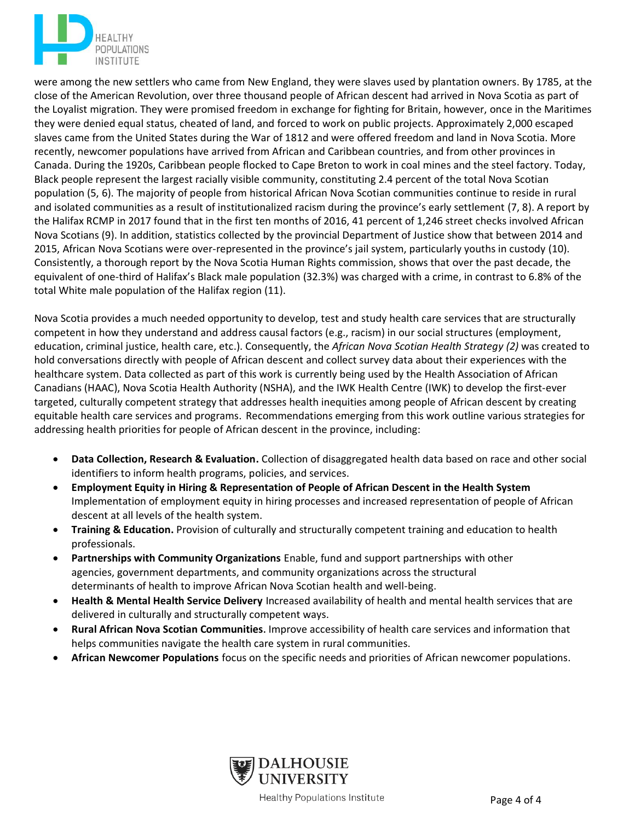

were among the new settlers who came from New England, they were slaves used by plantation owners. By 1785, at the close of the American Revolution, over three thousand people of African descent had arrived in Nova Scotia as part of the Loyalist migration. They were promised freedom in exchange for fighting for Britain, however, once in the Maritimes they were denied equal status, cheated of land, and forced to work on public projects. Approximately 2,000 escaped slaves came from the United States during the War of 1812 and were offered freedom and land in Nova Scotia. More recently, newcomer populations have arrived from African and Caribbean countries, and from other provinces in Canada. During the 1920s, Caribbean people flocked to Cape Breton to work in coal mines and the steel factory. Today, Black people represent the largest racially visible community, constituting 2.4 percent of the total Nova Scotian population (5, 6). The majority of people from historical African Nova Scotian communities continue to reside in rural and isolated communities as a result of institutionalized racism during the province's early settlement (7, 8). A report by the Halifax RCMP in 2017 found that in the first ten months of 2016, 41 percent of 1,246 street checks involved African Nova Scotians (9). In addition, statistics collected by the provincial Department of Justice show that between 2014 and 2015, African Nova Scotians were over-represented in the province's jail system, particularly youths in custody (10). Consistently, a thorough report by the Nova Scotia Human Rights commission, shows that over the past decade, the equivalent of one-third of Halifax's Black male population (32.3%) was charged with a crime, in contrast to 6.8% of the total White male population of the Halifax region (11).

Nova Scotia provides a much needed opportunity to develop, test and study health care services that are structurally competent in how they understand and address causal factors (e.g., racism) in our social structures (employment, education, criminal justice, health care, etc.). Consequently, the *African Nova Scotian Health Strategy (2)* was created to hold conversations directly with people of African descent and collect survey data about their experiences with the healthcare system. Data collected as part of this work is currently being used by the Health Association of African Canadians (HAAC), Nova Scotia Health Authority (NSHA), and the IWK Health Centre (IWK) to develop the first-ever targeted, culturally competent strategy that addresses health inequities among people of African descent by creating equitable health care services and programs. Recommendations emerging from this work outline various strategies for addressing health priorities for people of African descent in the province, including:

- **Data Collection, Research & Evaluation.** Collection of disaggregated health data based on race and other social identifiers to inform health programs, policies, and services.
- **Employment Equity in Hiring & Representation of People of African Descent in the Health System** Implementation of employment equity in hiring processes and increased representation of people of African descent at all levels of the health system.
- **Training & Education.** Provision of culturally and structurally competent training and education to health professionals.
- **Partnerships with Community Organizations** Enable, fund and support partnerships with other agencies, government departments, and community organizations across the structural determinants of health to improve African Nova Scotian health and well-being.
- **Health & Mental Health Service Delivery** Increased availability of health and mental health services that are delivered in culturally and structurally competent ways.
- **Rural African Nova Scotian Communities**. Improve accessibility of health care services and information that helps communities navigate the health care system in rural communities.
- **African Newcomer Populations** focus on the specific needs and priorities of African newcomer populations.



Healthy Populations Institute **Example 2 Page 4 of 4**